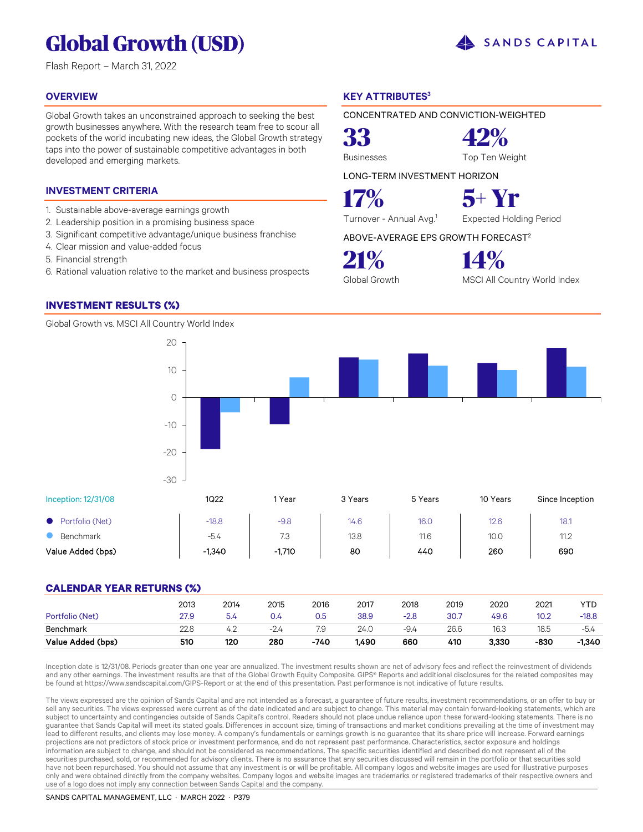# **Global Growth (USD)**

Flash Report – March 31, 2022

#### **OVERVIEW**

Global Growth takes an unconstrained approach to seeking the best growth businesses anywhere. With the research team free to scour all pockets of the world incubating new ideas, the Global Growth strategy taps into the power of sustainable competitive advantages in both developed and emerging markets.

#### **INVESTMENT CRITERIA**

- 1. Sustainable above-average earnings growth
- 2. Leadership position in a promising business space
- 3. Significant competitive advantage/unique business franchise
- 4. Clear mission and value-added focus
- 5. Financial strength
- 6. Rational valuation relative to the market and business prospects

10

20

#### **INVESTMENT RESULTS (%)**

Global Growth vs. MSCI All Country World Index

### **KEY ATTRIBUTES<sup>3</sup>**

CONCENTRATED AND CONVICTION-WEIGHTED

Businesses Top Ten Weight

**33 42%**

LONG-TERM INVESTMENT HORIZON

**17% 5+ Yr**

Turnover - Annual Avg.<sup>1</sup> Expected Holding Period

SANDS CAPITAL

ABOVE-AVERAGE EPS GROWTH FORECAST<sup>2</sup>

**21% 14%**

Global Growth MSCI All Country World Index

Inception: 12/31/08 1Q22 1 Year 3 Years 5 Years 10 Years Since Inception Portfolio (Net) -18.8 -9.8 14.6 16.0 12.6 18.1 **8** Benchmark **12.12** 12.8 13.8 13.8 11.6 10.0 11.2 Value Added (bps) -1,340 -1,710 80 440 260 690 -30 -20  $-10$ 0

### **CALENDAR YEAR RETURNS (%)**

| Portfolio (Net)<br>Benchmark | 2013<br>27.9<br>22.8 | 2014<br>5.4<br>4.2 | 2015<br>0.4   | 2016<br>0.5<br>7.9 | 2017<br>38.9<br>24.0 | 2018<br>-2.8<br>-9.4 | 2019<br>30.7<br>26.6 | 2020<br>49.6<br>16.3 | 2021<br>10.2<br>18.5 | YTC<br>$-18.8$<br>$-5.4$ |
|------------------------------|----------------------|--------------------|---------------|--------------------|----------------------|----------------------|----------------------|----------------------|----------------------|--------------------------|
| Value Added (bps)            | 510                  | 120                | $-2.4$<br>280 | $-740$             | 1.490                | 660                  | 410                  | 3,330                | -830                 | $-1,340$                 |

Inception date is 12/31/08. Periods greater than one year are annualized. The investment results shown are net of advisory fees and reflect the reinvestment of dividends and any other earnings. The investment results are that of the Global Growth Equity Composite. GIPS® Reports and additional disclosures for the related composites may be found at https://www.sandscapital.com/GIPS-Report or at the end of this presentation. Past performance is not indicative of future results.

The views expressed are the opinion of Sands Capital and are not intended as a forecast, a guarantee of future results, investment recommendations, or an offer to buy or sell any securities. The views expressed were current as of the date indicated and are subject to change. This material may contain forward-looking statements, which are subject to uncertainty and contingencies outside of Sands Capital's control. Readers should not place undue reliance upon these forward-looking statements. There is no guarantee that Sands Capital will meet its stated goals. Differences in account size, timing of transactions and market conditions prevailing at the time of investment may lead to different results, and clients may lose money. A company's fundamentals or earnings growth is no guarantee that its share price will increase. Forward earnings projections are not predictors of stock price or investment performance, and do not represent past performance. Characteristics, sector exposure and holdings information are subject to change, and should not be considered as recommendations. The specific securities identified and described do not represent all of the securities purchased, sold, or recommended for advisory clients. There is no assurance that any securities discussed will remain in the portfolio or that securities sold have not been repurchased. You should not assume that any investment is or will be profitable. All company logos and website images are used for illustrative purposes only and were obtained directly from the company websites. Company logos and website images are trademarks or registered trademarks of their respective owners and use of a logo does not imply any connection between Sands Capital and the company.

#### SANDS CAPITAL MANAGEMENT, LLC · MARCH 2022 · P379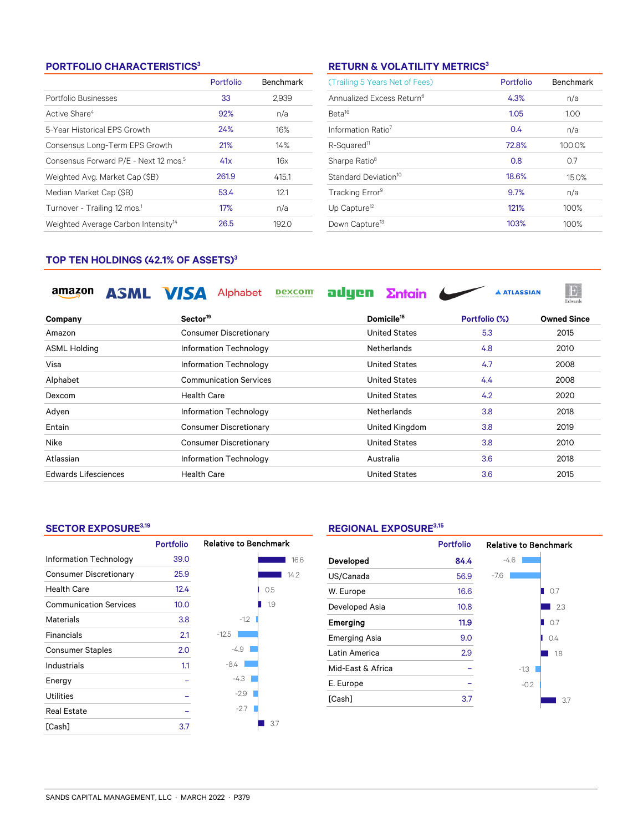#### **PORTFOLIO CHARACTERISTICS<sup>3</sup>**

|                                                   | Portfolio | <b>Benchmark</b> |
|---------------------------------------------------|-----------|------------------|
| Portfolio Businesses                              | 33        | 2.939            |
| Active Share <sup>4</sup>                         | 92%       | n/a              |
| 5-Year Historical EPS Growth                      | 24%       | 16%              |
| Consensus Long-Term EPS Growth                    | 21%       | 14%              |
| Consensus Forward P/E - Next 12 mos. <sup>5</sup> | 41x       | 16x              |
| Weighted Avg. Market Cap (\$B)                    | 261.9     | 415.1            |
| Median Market Cap (\$B)                           | 53.4      | 12.1             |
| Turnover - Trailing 12 mos. <sup>1</sup>          | 17%       | n/a              |
| Weighted Average Carbon Intensity <sup>14</sup>   | 26.5      | 192.0            |

#### **RETURN & VOLATILITY METRICS<sup>3</sup>**

| (Trailing 5 Years Net of Fees)        | Portfolio | <b>Benchmark</b> |
|---------------------------------------|-----------|------------------|
| Annualized Excess Return <sup>6</sup> | 4.3%      | n/a              |
| Beta <sup>16</sup>                    | 1.05      | 1.00             |
| Information Ratio <sup>7</sup>        | 0.4       | n/a              |
| R-Squared <sup>11</sup>               | 72.8%     | 100.0%           |
| Sharpe Ratio <sup>8</sup>             | 0.8       | 0.7              |
| Standard Deviation <sup>10</sup>      | 18.6%     | 15.0%            |
| Tracking Error <sup>9</sup>           | 9.7%      | n/a              |
| Up Capture <sup>12</sup>              | 121%      | 100%             |
| Down Capture <sup>13</sup>            | 103%      | 100%             |

 $\begin{tabular}{c} \hline \quad \quad & \quad \quad & \quad \quad \\ \hline \quad \quad & \quad \quad \\ \hline \quad \quad & \quad \quad \\ \hline \end{tabular}$ 

#### **TOP TEN HOLDINGS (42.1% OF ASSETS)<sup>3</sup>**

amazon ASML VISA Alphabet Dexcom adyen Entain

| Company              | Sector <sup>19</sup>          | Domicile <sup>15</sup> | Portfolio (%) | <b>Owned Since</b> |
|----------------------|-------------------------------|------------------------|---------------|--------------------|
| Amazon               | <b>Consumer Discretionary</b> | <b>United States</b>   | 5.3           | 2015               |
| <b>ASML Holding</b>  | Information Technology        | <b>Netherlands</b>     | 4.8           | 2010               |
| Visa                 | Information Technology        | United States          | 4.7           | 2008               |
| Alphabet             | <b>Communication Services</b> | <b>United States</b>   | 4.4           | 2008               |
| Dexcom               | <b>Health Care</b>            | <b>United States</b>   | 4.2           | 2020               |
| Adyen                | Information Technology        | <b>Netherlands</b>     | 3.8           | 2018               |
| Entain               | <b>Consumer Discretionary</b> | United Kingdom         | 3.8           | 2019               |
| Nike                 | <b>Consumer Discretionary</b> | <b>United States</b>   | 3.8           | 2010               |
| Atlassian            | Information Technology        | Australia              | 3.6           | 2018               |
| Edwards Lifesciences | <b>Health Care</b>            | <b>United States</b>   | 3.6           | 2015               |

#### **SECTOR EXPOSURE3,19**

|                               | <b>Portfolio</b> | <b>Relative to Benchmark</b> |
|-------------------------------|------------------|------------------------------|
| Information Technology        | 39.0             | 16.6                         |
| <b>Consumer Discretionary</b> | 25.9             | 14.2                         |
| <b>Health Care</b>            | 12.4             | 0.5                          |
| <b>Communication Services</b> | 10.0             | 1.9                          |
| Materials                     | 3.8              | $-1.2$                       |
| Financials                    | 2.1              | $-12.5$                      |
| <b>Consumer Staples</b>       | 2.0              | $-4.9$                       |
| Industrials                   | 1.1              | $-8.4$                       |
| Energy                        |                  | -4.3                         |
| Utilities                     |                  | $-2.9$                       |
| <b>Real Estate</b>            |                  | $-2.7$                       |
| [Cash]                        | 3.7              | 3.7                          |

#### **REGIONAL EXPOSURE3,15**

|                      | <b>Portfolio</b> | <b>Relative to Benchmark</b> |     |  |  |
|----------------------|------------------|------------------------------|-----|--|--|
| Developed            | 84.4             | $-4.6$                       |     |  |  |
| US/Canada            | 56.9             | $-7.6$                       |     |  |  |
| W. Europe            | 16.6             |                              | 0.7 |  |  |
| Developed Asia       | 10.8             |                              | 2.3 |  |  |
| Emerging             | 11.9             |                              | 0.7 |  |  |
| <b>Emerging Asia</b> | 9.0              |                              | 0.4 |  |  |
| Latin America        | 2.9              |                              | 1.8 |  |  |
| Mid-East & Africa    |                  | $-1.3$                       |     |  |  |
| E. Europe            |                  | $-0.2$                       |     |  |  |
| [Cash]               | 3.7              |                              | 3.7 |  |  |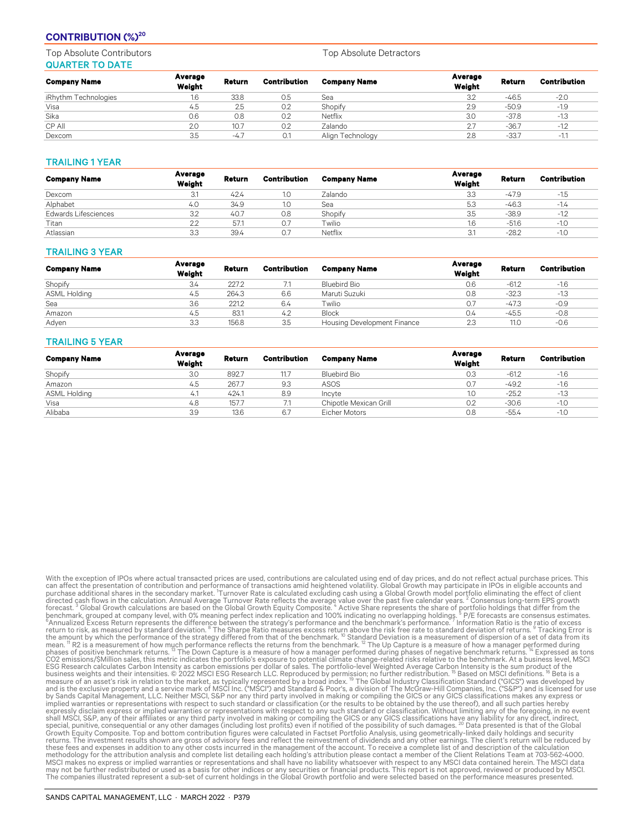#### **CONTRIBUTION (%)<sup>20</sup>**

Top Absolute Contributors Top Absolute Detractors Top Absolute Detractors QUARTER TO DATE

| <b>Company Name</b>  | Average<br>Weight | Return | Contribution | <b>Company Name</b> | Average<br>Weight | <b>Return</b> | Contribution |
|----------------------|-------------------|--------|--------------|---------------------|-------------------|---------------|--------------|
| iRhythm Technologies | 1.6               | 33.8   | 0.5          | Sea                 | 3.2               | $-46.5$       | $-2.0$       |
| Visa                 | 4.5               | 2.5    | 0.2          | Shopify             | 2.9               | $-50.9$       | $-1.9$       |
| Sika                 | 0.6               | 0.8    | 0.2          | Netflix             | 3.0               | $-37.8$       | $-1.3$       |
| CP All               | 2.0               | 10.7   | 0.2          | Zalando             | 2.7               | $-36.7$       | $-1.2$       |
| Dexcom               | 3.5               | $-4.7$ | O.1          | Align Technology    | 2.8               | $-33.7$       | $-1.1$       |

#### TRAILING 1 YEAR

| <b>Company Name</b>         | Average<br>Weight | Return | Contribution | <b>Company Name</b> | Average<br>Weight | Return  | Contribution |
|-----------------------------|-------------------|--------|--------------|---------------------|-------------------|---------|--------------|
| Dexcom                      | 3.1               | 42.4   | 1.0          | Zalando             | 3.3               | $-47.9$ | $-1.5$       |
| Alphabet                    | 4.0               | 34.9   | IJ           | Sea                 | 5.3               | $-46.3$ | $-1.4$       |
| <b>Edwards Lifesciences</b> | 3.2               | 40.7   | 0.8          | Shopify             | 3.5               | $-38.9$ | $-1.2$       |
| Titan                       | 2.2               | 57.1   | O.7          | Twilio              | 1.6               | $-51.6$ | $-1.0$       |
| Atlassian                   | 3.3               | 39.4   | O.,          | Netflix             | 3.1               | $-28.2$ | $-1.0$       |

#### TRAILING 3 YEAR

| <b>Company Name</b> | Average<br>Weight | Return | Contribution | <b>Company Name</b>                | Average<br>Weight | Return  | <b>Contribution</b> |
|---------------------|-------------------|--------|--------------|------------------------------------|-------------------|---------|---------------------|
| Shopify             | 3.4               | 227.2  |              | Bluebird Bio                       | 0.6               | $-61.2$ | $-1.6$              |
| ASML Holding        | 4.5               | 264.3  | 6.6          | Maruti Suzuki                      | 0.8               | $-32.3$ | $-1.3$              |
| Sea                 | 3.6               | 221.2  | 6.4          | Twilio                             | 0.7               | $-47.3$ | $-0.9$              |
| Amazon              | 4.5               | 83.1   | 4.2          | <b>Block</b>                       | 0.4               | $-45.5$ | $-0.8$              |
| Adyen               | 3.3               | 156.8  | 3.5          | <b>Housing Development Finance</b> | 2.3               | 11.0    | $-0.6$              |

#### TRAILING 5 YEAR

| <b>Company Name</b> | Average<br>Weight | Return | Contribution | <b>Company Name</b>    | Average<br>Weight | Return  | <b>Contribution</b> |
|---------------------|-------------------|--------|--------------|------------------------|-------------------|---------|---------------------|
| Shopify             | 3.0               | 892.7  | 11.7         | Bluebird Bio           | 0.3               | $-61.2$ | $-1.6$              |
| Amazon              | 4.5               | 267.7  | 9.3          | ASOS                   | 0.7               | $-49.2$ | $-1.6$              |
| ASML Holding        | 4.1               | 424.1  | 8.9          | Incyte                 | 1.0               | $-25.2$ | $-1.3$              |
| Visa                | 4.8               | 157.7  |              | Chipotle Mexican Grill | 0.2               | $-30.6$ | $-1.0$              |
| Alibaba             | 3.9               | 13.6   | 6.7          | Eicher Motors          | 0.8               | $-55.4$ | $-1.0$              |

With the exception of POS where actual transacted prices are used, contributions are calculated using end d and y prices, and do not reflect actual purpose presentation of the exception of the exception of the exception Am methodology for the attribution analysis and complete list detailing each holding's attribution please contact a member of the Client Relations Team at 703-562-4000.<br>MSCI makes no express or implied warranties or represent may not be further redistributed or used as a basis for other indices or any securities or financial products. This report is not approved, reviewed or produced by MSCI.<br>The companies illustrated represent a sub-set of cur